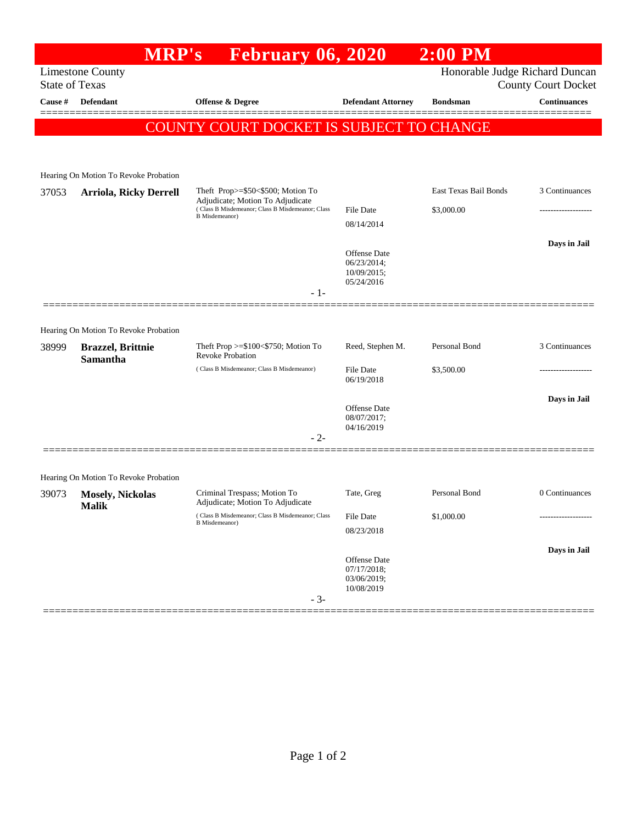## **MRP's February 06, 2020 2:00 PM**

Limestone County<br>
State of Texas<br>
County Court Docket County Court Docket

| Cause # | State of Texas<br><b>Defendant</b>           | <b>Offense &amp; Degree</b>                                                                                                                        | <b>Defendant Attorney</b>                                | <b>Bondsman</b>                     | COUIITY COULT DOCKET<br>$\label{1.1}$ Continuances |
|---------|----------------------------------------------|----------------------------------------------------------------------------------------------------------------------------------------------------|----------------------------------------------------------|-------------------------------------|----------------------------------------------------|
|         |                                              | COUNTY COURT DOCKET IS SUBJECT TO CHANGE                                                                                                           |                                                          |                                     |                                                    |
|         |                                              |                                                                                                                                                    |                                                          |                                     |                                                    |
|         | Hearing On Motion To Revoke Probation        |                                                                                                                                                    |                                                          |                                     |                                                    |
| 37053   | <b>Arriola, Ricky Derrell</b>                | Theft Prop>=\$50<\$500; Motion To<br>Adjudicate; Motion To Adjudicate<br>(Class B Misdemeanor; Class B Misdemeanor; Class<br><b>B</b> Misdemeanor) | <b>File Date</b><br>08/14/2014                           | East Texas Bail Bonds<br>\$3,000.00 | 3 Continuances                                     |
|         |                                              |                                                                                                                                                    | Offense Date<br>06/23/2014;<br>10/09/2015;<br>05/24/2016 |                                     | Days in Jail                                       |
|         |                                              | - 1-                                                                                                                                               |                                                          |                                     |                                                    |
|         | Hearing On Motion To Revoke Probation        |                                                                                                                                                    |                                                          |                                     |                                                    |
| 38999   | <b>Brazzel</b> , Brittnie<br><b>Samantha</b> | Theft Prop $>= $100 < $750$ ; Motion To<br><b>Revoke Probation</b>                                                                                 | Reed, Stephen M.                                         | Personal Bond                       | 3 Continuances                                     |
|         |                                              | (Class B Misdemeanor; Class B Misdemeanor)                                                                                                         | <b>File Date</b><br>06/19/2018                           | \$3,500.00                          |                                                    |
|         |                                              | $-2-$                                                                                                                                              | Offense Date<br>08/07/2017;<br>04/16/2019                |                                     | Days in Jail                                       |
|         |                                              |                                                                                                                                                    |                                                          |                                     |                                                    |
|         | Hearing On Motion To Revoke Probation        |                                                                                                                                                    |                                                          |                                     |                                                    |
| 39073   | <b>Mosely, Nickolas</b><br><b>Malik</b>      | Criminal Trespass; Motion To<br>Adjudicate; Motion To Adjudicate                                                                                   | Tate, Greg                                               | Personal Bond                       | 0 Continuances                                     |
|         |                                              | (Class B Misdemeanor; Class B Misdemeanor; Class<br><b>B</b> Misdemeanor)                                                                          | <b>File Date</b><br>08/23/2018                           | \$1,000.00                          |                                                    |
|         |                                              | $-3-$                                                                                                                                              | Offense Date<br>07/17/2018;<br>03/06/2019;<br>10/08/2019 |                                     | Days in Jail                                       |